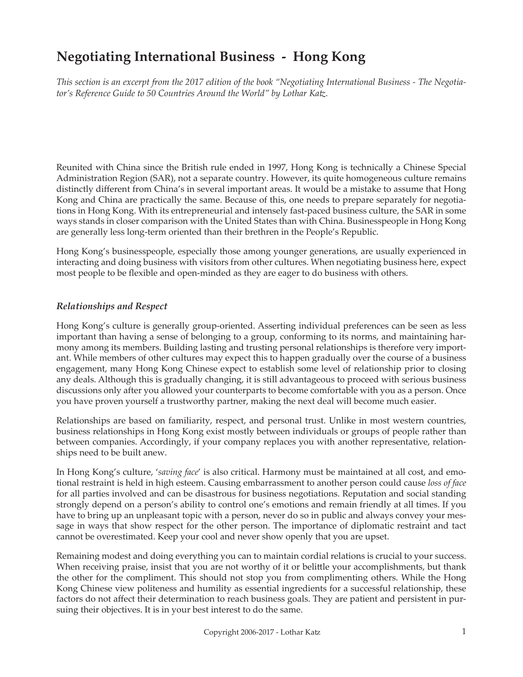# **Negotiating International Business - Hong Kong**

*This section is an excerpt from the 2017 edition of the book "Negotiating International Business - The Negotiator's Reference Guide to 50 Countries Around the World" by Lothar Katz.*

Reunited with China since the British rule ended in 1997, Hong Kong is technically a Chinese Special Administration Region (SAR), not a separate country. However, its quite homogeneous culture remains distinctly different from China's in several important areas. It would be a mistake to assume that Hong Kong and China are practically the same. Because of this, one needs to prepare separately for negotiations in Hong Kong. With its entrepreneurial and intensely fast-paced business culture, the SAR in some ways stands in closer comparison with the United States than with China. Businesspeople in Hong Kong are generally less long-term oriented than their brethren in the People's Republic.

Hong Kong's businesspeople, especially those among younger generations, are usually experienced in interacting and doing business with visitors from other cultures. When negotiating business here, expect most people to be flexible and open-minded as they are eager to do business with others.

## *Relationships and Respect*

Hong Kong's culture is generally group-oriented. Asserting individual preferences can be seen as less important than having a sense of belonging to a group, conforming to its norms, and maintaining harmony among its members. Building lasting and trusting personal relationships is therefore very important. While members of other cultures may expect this to happen gradually over the course of a business engagement, many Hong Kong Chinese expect to establish some level of relationship prior to closing any deals. Although this is gradually changing, it is still advantageous to proceed with serious business discussions only after you allowed your counterparts to become comfortable with you as a person. Once you have proven yourself a trustworthy partner, making the next deal will become much easier.

Relationships are based on familiarity, respect, and personal trust. Unlike in most western countries, business relationships in Hong Kong exist mostly between individuals or groups of people rather than between companies. Accordingly, if your company replaces you with another representative, relationships need to be built anew.

In Hong Kong's culture, '*saving face*' is also critical. Harmony must be maintained at all cost, and emotional restraint is held in high esteem. Causing embarrassment to another person could cause *loss of face* for all parties involved and can be disastrous for business negotiations. Reputation and social standing strongly depend on a person's ability to control one's emotions and remain friendly at all times. If you have to bring up an unpleasant topic with a person, never do so in public and always convey your message in ways that show respect for the other person. The importance of diplomatic restraint and tact cannot be overestimated. Keep your cool and never show openly that you are upset.

Remaining modest and doing everything you can to maintain cordial relations is crucial to your success. When receiving praise, insist that you are not worthy of it or belittle your accomplishments, but thank the other for the compliment. This should not stop you from complimenting others. While the Hong Kong Chinese view politeness and humility as essential ingredients for a successful relationship, these factors do not affect their determination to reach business goals. They are patient and persistent in pursuing their objectives. It is in your best interest to do the same.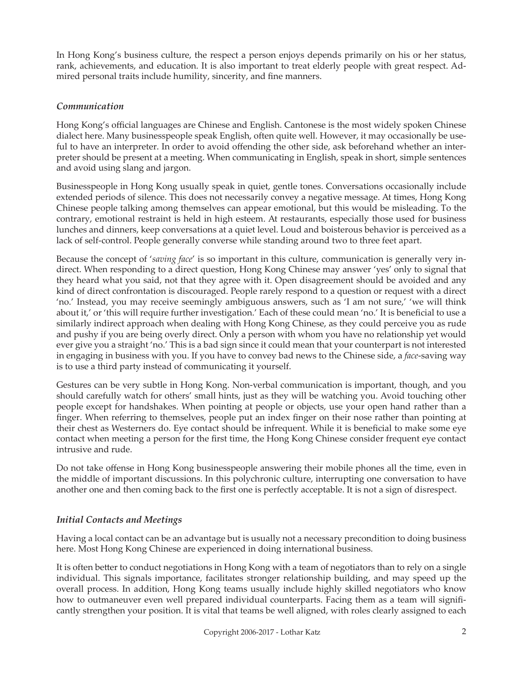In Hong Kong's business culture, the respect a person enjoys depends primarily on his or her status, rank, achievements, and education. It is also important to treat elderly people with great respect. Admired personal traits include humility, sincerity, and fine manners.

## *Communication*

Hong Kong's official languages are Chinese and English. Cantonese is the most widely spoken Chinese dialect here. Many businesspeople speak English, often quite well. However, it may occasionally be useful to have an interpreter. In order to avoid offending the other side, ask beforehand whether an interpreter should be present at a meeting. When communicating in English, speak in short, simple sentences and avoid using slang and jargon.

Businesspeople in Hong Kong usually speak in quiet, gentle tones. Conversations occasionally include extended periods of silence. This does not necessarily convey a negative message. At times, Hong Kong Chinese people talking among themselves can appear emotional, but this would be misleading. To the contrary, emotional restraint is held in high esteem. At restaurants, especially those used for business lunches and dinners, keep conversations at a quiet level. Loud and boisterous behavior is perceived as a lack of self-control. People generally converse while standing around two to three feet apart.

Because the concept of '*saving face*' is so important in this culture, communication is generally very indirect. When responding to a direct question, Hong Kong Chinese may answer 'yes' only to signal that they heard what you said, not that they agree with it. Open disagreement should be avoided and any kind of direct confrontation is discouraged. People rarely respond to a question or request with a direct 'no.' Instead, you may receive seemingly ambiguous answers, such as 'I am not sure,' 'we will think about it,' or 'this will require further investigation.' Each of these could mean 'no.' It is beneficial to use a similarly indirect approach when dealing with Hong Kong Chinese, as they could perceive you as rude and pushy if you are being overly direct. Only a person with whom you have no relationship yet would ever give you a straight 'no.' This is a bad sign since it could mean that your counterpart is not interested in engaging in business with you. If you have to convey bad news to the Chinese side, a *face*-saving way is to use a third party instead of communicating it yourself.

Gestures can be very subtle in Hong Kong. Non-verbal communication is important, though, and you should carefully watch for others' small hints, just as they will be watching you. Avoid touching other people except for handshakes. When pointing at people or objects, use your open hand rather than a finger. When referring to themselves, people put an index finger on their nose rather than pointing at their chest as Westerners do. Eye contact should be infrequent. While it is beneficial to make some eye contact when meeting a person for the first time, the Hong Kong Chinese consider frequent eye contact intrusive and rude.

Do not take offense in Hong Kong businesspeople answering their mobile phones all the time, even in the middle of important discussions. In this polychronic culture, interrupting one conversation to have another one and then coming back to the first one is perfectly acceptable. It is not a sign of disrespect.

## *Initial Contacts and Meetings*

Having a local contact can be an advantage but is usually not a necessary precondition to doing business here. Most Hong Kong Chinese are experienced in doing international business.

It is often better to conduct negotiations in Hong Kong with a team of negotiators than to rely on a single individual. This signals importance, facilitates stronger relationship building, and may speed up the overall process. In addition, Hong Kong teams usually include highly skilled negotiators who know how to outmaneuver even well prepared individual counterparts. Facing them as a team will significantly strengthen your position. It is vital that teams be well aligned, with roles clearly assigned to each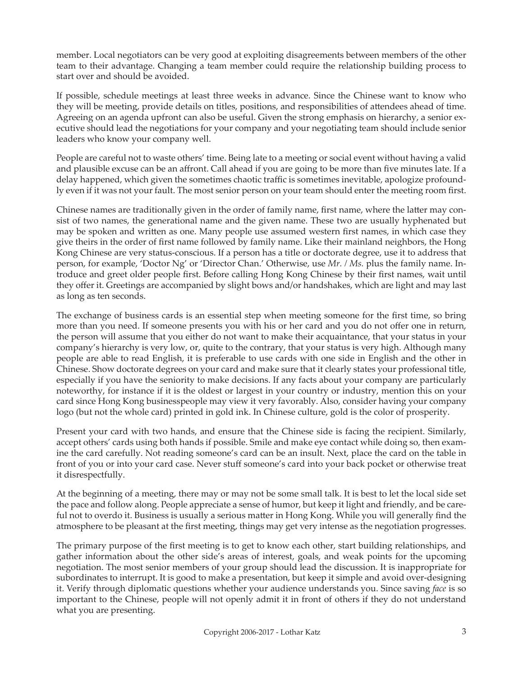member. Local negotiators can be very good at exploiting disagreements between members of the other team to their advantage. Changing a team member could require the relationship building process to start over and should be avoided.

If possible, schedule meetings at least three weeks in advance. Since the Chinese want to know who they will be meeting, provide details on titles, positions, and responsibilities of attendees ahead of time. Agreeing on an agenda upfront can also be useful. Given the strong emphasis on hierarchy, a senior executive should lead the negotiations for your company and your negotiating team should include senior leaders who know your company well.

People are careful not to waste others' time. Being late to a meeting or social event without having a valid and plausible excuse can be an affront. Call ahead if you are going to be more than five minutes late. If a delay happened, which given the sometimes chaotic traffic is sometimes inevitable, apologize profoundly even if it was not your fault. The most senior person on your team should enter the meeting room first.

Chinese names are traditionally given in the order of family name, first name, where the latter may consist of two names, the generational name and the given name. These two are usually hyphenated but may be spoken and written as one. Many people use assumed western first names, in which case they give theirs in the order of first name followed by family name. Like their mainland neighbors, the Hong Kong Chinese are very status-conscious. If a person has a title or doctorate degree, use it to address that person, for example, 'Doctor Ng' or 'Director Chan.' Otherwise, use *Mr. / Ms.* plus the family name. Introduce and greet older people first. Before calling Hong Kong Chinese by their first names, wait until they offer it. Greetings are accompanied by slight bows and/or handshakes, which are light and may last as long as ten seconds.

The exchange of business cards is an essential step when meeting someone for the first time, so bring more than you need. If someone presents you with his or her card and you do not offer one in return, the person will assume that you either do not want to make their acquaintance, that your status in your company's hierarchy is very low, or, quite to the contrary, that your status is very high. Although many people are able to read English, it is preferable to use cards with one side in English and the other in Chinese. Show doctorate degrees on your card and make sure that it clearly states your professional title, especially if you have the seniority to make decisions. If any facts about your company are particularly noteworthy, for instance if it is the oldest or largest in your country or industry, mention this on your card since Hong Kong businesspeople may view it very favorably. Also, consider having your company logo (but not the whole card) printed in gold ink. In Chinese culture, gold is the color of prosperity.

Present your card with two hands, and ensure that the Chinese side is facing the recipient. Similarly, accept others' cards using both hands if possible. Smile and make eye contact while doing so, then examine the card carefully. Not reading someone's card can be an insult. Next, place the card on the table in front of you or into your card case. Never stuff someone's card into your back pocket or otherwise treat it disrespectfully.

At the beginning of a meeting, there may or may not be some small talk. It is best to let the local side set the pace and follow along. People appreciate a sense of humor, but keep it light and friendly, and be careful not to overdo it. Business is usually a serious matter in Hong Kong. While you will generally find the atmosphere to be pleasant at the first meeting, things may get very intense as the negotiation progresses.

The primary purpose of the first meeting is to get to know each other, start building relationships, and gather information about the other side's areas of interest, goals, and weak points for the upcoming negotiation. The most senior members of your group should lead the discussion. It is inappropriate for subordinates to interrupt. It is good to make a presentation, but keep it simple and avoid over-designing it. Verify through diplomatic questions whether your audience understands you. Since saving *face* is so important to the Chinese, people will not openly admit it in front of others if they do not understand what you are presenting.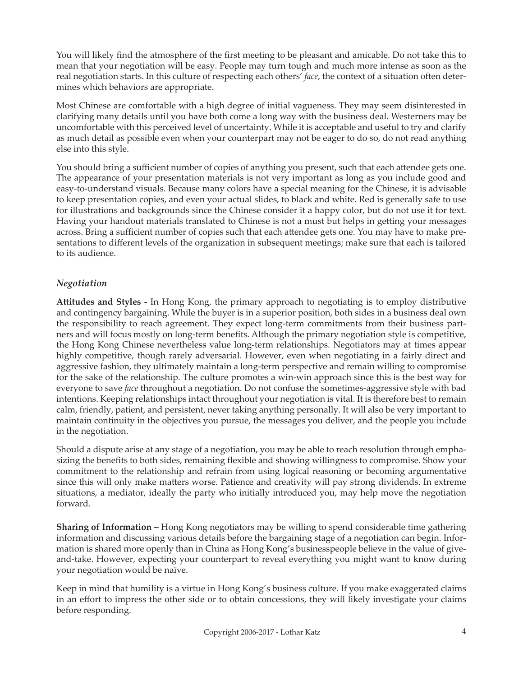You will likely find the atmosphere of the first meeting to be pleasant and amicable. Do not take this to mean that your negotiation will be easy. People may turn tough and much more intense as soon as the real negotiation starts. In this culture of respecting each others' *face*, the context of a situation often determines which behaviors are appropriate.

Most Chinese are comfortable with a high degree of initial vagueness. They may seem disinterested in clarifying many details until you have both come a long way with the business deal. Westerners may be uncomfortable with this perceived level of uncertainty. While it is acceptable and useful to try and clarify as much detail as possible even when your counterpart may not be eager to do so, do not read anything else into this style.

You should bring a sufficient number of copies of anything you present, such that each attendee gets one. The appearance of your presentation materials is not very important as long as you include good and easy-to-understand visuals. Because many colors have a special meaning for the Chinese, it is advisable to keep presentation copies, and even your actual slides, to black and white. Red is generally safe to use for illustrations and backgrounds since the Chinese consider it a happy color, but do not use it for text. Having your handout materials translated to Chinese is not a must but helps in getting your messages across. Bring a sufficient number of copies such that each attendee gets one. You may have to make presentations to different levels of the organization in subsequent meetings; make sure that each is tailored to its audience.

## *Negotiation*

**Attitudes and Styles -** In Hong Kong, the primary approach to negotiating is to employ distributive and contingency bargaining. While the buyer is in a superior position, both sides in a business deal own the responsibility to reach agreement. They expect long-term commitments from their business partners and will focus mostly on long-term benefits. Although the primary negotiation style is competitive, the Hong Kong Chinese nevertheless value long-term relationships. Negotiators may at times appear highly competitive, though rarely adversarial. However, even when negotiating in a fairly direct and aggressive fashion, they ultimately maintain a long-term perspective and remain willing to compromise for the sake of the relationship. The culture promotes a win-win approach since this is the best way for everyone to save *face* throughout a negotiation. Do not confuse the sometimes-aggressive style with bad intentions. Keeping relationships intact throughout your negotiation is vital. It is therefore best to remain calm, friendly, patient, and persistent, never taking anything personally. It will also be very important to maintain continuity in the objectives you pursue, the messages you deliver, and the people you include in the negotiation.

Should a dispute arise at any stage of a negotiation, you may be able to reach resolution through emphasizing the benefits to both sides, remaining flexible and showing willingness to compromise. Show your commitment to the relationship and refrain from using logical reasoning or becoming argumentative since this will only make matters worse. Patience and creativity will pay strong dividends. In extreme situations, a mediator, ideally the party who initially introduced you, may help move the negotiation forward.

**Sharing of Information –** Hong Kong negotiators may be willing to spend considerable time gathering information and discussing various details before the bargaining stage of a negotiation can begin. Information is shared more openly than in China as Hong Kong's businesspeople believe in the value of giveand-take. However, expecting your counterpart to reveal everything you might want to know during your negotiation would be naïve.

Keep in mind that humility is a virtue in Hong Kong's business culture. If you make exaggerated claims in an effort to impress the other side or to obtain concessions, they will likely investigate your claims before responding.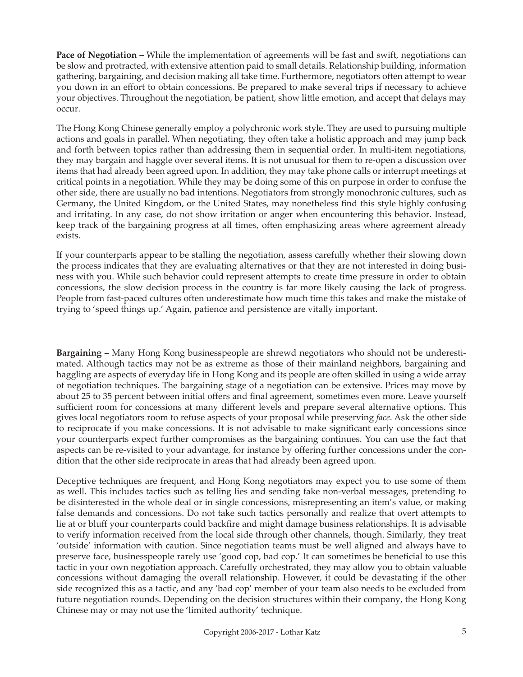**Pace of Negotiation –** While the implementation of agreements will be fast and swift, negotiations can be slow and protracted, with extensive attention paid to small details. Relationship building, information gathering, bargaining, and decision making all take time. Furthermore, negotiators often attempt to wear you down in an effort to obtain concessions. Be prepared to make several trips if necessary to achieve your objectives. Throughout the negotiation, be patient, show little emotion, and accept that delays may occur.

The Hong Kong Chinese generally employ a polychronic work style. They are used to pursuing multiple actions and goals in parallel. When negotiating, they often take a holistic approach and may jump back and forth between topics rather than addressing them in sequential order. In multi-item negotiations, they may bargain and haggle over several items. It is not unusual for them to re-open a discussion over items that had already been agreed upon. In addition, they may take phone calls or interrupt meetings at critical points in a negotiation. While they may be doing some of this on purpose in order to confuse the other side, there are usually no bad intentions. Negotiators from strongly monochronic cultures, such as Germany, the United Kingdom, or the United States, may nonetheless find this style highly confusing and irritating. In any case, do not show irritation or anger when encountering this behavior. Instead, keep track of the bargaining progress at all times, often emphasizing areas where agreement already exists.

If your counterparts appear to be stalling the negotiation, assess carefully whether their slowing down the process indicates that they are evaluating alternatives or that they are not interested in doing business with you. While such behavior could represent attempts to create time pressure in order to obtain concessions, the slow decision process in the country is far more likely causing the lack of progress. People from fast-paced cultures often underestimate how much time this takes and make the mistake of trying to 'speed things up.' Again, patience and persistence are vitally important.

**Bargaining –** Many Hong Kong businesspeople are shrewd negotiators who should not be underestimated. Although tactics may not be as extreme as those of their mainland neighbors, bargaining and haggling are aspects of everyday life in Hong Kong and its people are often skilled in using a wide array of negotiation techniques. The bargaining stage of a negotiation can be extensive. Prices may move by about 25 to 35 percent between initial offers and final agreement, sometimes even more. Leave yourself sufficient room for concessions at many different levels and prepare several alternative options. This gives local negotiators room to refuse aspects of your proposal while preserving *face*. Ask the other side to reciprocate if you make concessions. It is not advisable to make significant early concessions since your counterparts expect further compromises as the bargaining continues. You can use the fact that aspects can be re-visited to your advantage, for instance by offering further concessions under the condition that the other side reciprocate in areas that had already been agreed upon.

Deceptive techniques are frequent, and Hong Kong negotiators may expect you to use some of them as well. This includes tactics such as telling lies and sending fake non-verbal messages, pretending to be disinterested in the whole deal or in single concessions, misrepresenting an item's value, or making false demands and concessions. Do not take such tactics personally and realize that overt attempts to lie at or bluff your counterparts could backfire and might damage business relationships. It is advisable to verify information received from the local side through other channels, though. Similarly, they treat 'outside' information with caution. Since negotiation teams must be well aligned and always have to preserve face, businesspeople rarely use 'good cop, bad cop.' It can sometimes be beneficial to use this tactic in your own negotiation approach. Carefully orchestrated, they may allow you to obtain valuable concessions without damaging the overall relationship. However, it could be devastating if the other side recognized this as a tactic, and any 'bad cop' member of your team also needs to be excluded from future negotiation rounds. Depending on the decision structures within their company, the Hong Kong Chinese may or may not use the 'limited authority' technique.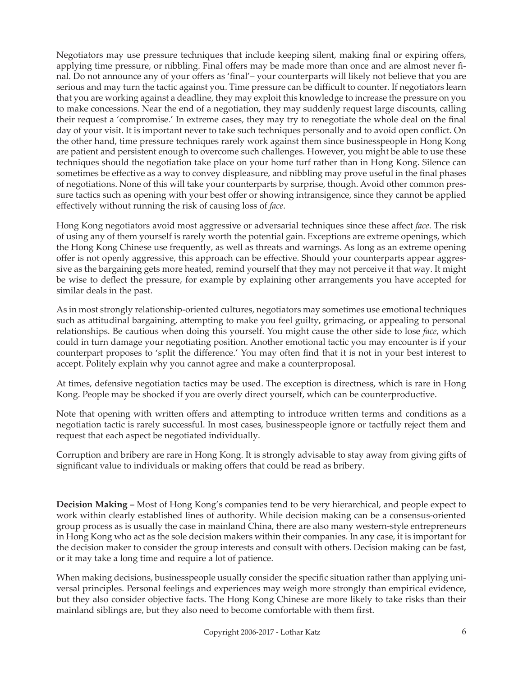Negotiators may use pressure techniques that include keeping silent, making final or expiring offers, applying time pressure, or nibbling. Final offers may be made more than once and are almost never final. Do not announce any of your offers as 'final'– your counterparts will likely not believe that you are serious and may turn the tactic against you. Time pressure can be difficult to counter. If negotiators learn that you are working against a deadline, they may exploit this knowledge to increase the pressure on you to make concessions. Near the end of a negotiation, they may suddenly request large discounts, calling their request a 'compromise.' In extreme cases, they may try to renegotiate the whole deal on the final day of your visit. It is important never to take such techniques personally and to avoid open conflict. On the other hand, time pressure techniques rarely work against them since businesspeople in Hong Kong are patient and persistent enough to overcome such challenges. However, you might be able to use these techniques should the negotiation take place on your home turf rather than in Hong Kong. Silence can sometimes be effective as a way to convey displeasure, and nibbling may prove useful in the final phases of negotiations. None of this will take your counterparts by surprise, though. Avoid other common pressure tactics such as opening with your best offer or showing intransigence, since they cannot be applied effectively without running the risk of causing loss of *face*.

Hong Kong negotiators avoid most aggressive or adversarial techniques since these affect *face*. The risk of using any of them yourself is rarely worth the potential gain. Exceptions are extreme openings, which the Hong Kong Chinese use frequently, as well as threats and warnings. As long as an extreme opening offer is not openly aggressive, this approach can be effective. Should your counterparts appear aggressive as the bargaining gets more heated, remind yourself that they may not perceive it that way. It might be wise to deflect the pressure, for example by explaining other arrangements you have accepted for similar deals in the past.

As in most strongly relationship-oriented cultures, negotiators may sometimes use emotional techniques such as attitudinal bargaining, attempting to make you feel guilty, grimacing, or appealing to personal relationships. Be cautious when doing this yourself. You might cause the other side to lose *face*, which could in turn damage your negotiating position. Another emotional tactic you may encounter is if your counterpart proposes to 'split the difference.' You may often find that it is not in your best interest to accept. Politely explain why you cannot agree and make a counterproposal.

At times, defensive negotiation tactics may be used. The exception is directness, which is rare in Hong Kong. People may be shocked if you are overly direct yourself, which can be counterproductive.

Note that opening with written offers and attempting to introduce written terms and conditions as a negotiation tactic is rarely successful. In most cases, businesspeople ignore or tactfully reject them and request that each aspect be negotiated individually.

Corruption and bribery are rare in Hong Kong. It is strongly advisable to stay away from giving gifts of significant value to individuals or making offers that could be read as bribery.

**Decision Making –** Most of Hong Kong's companies tend to be very hierarchical, and people expect to work within clearly established lines of authority. While decision making can be a consensus-oriented group process as is usually the case in mainland China, there are also many western-style entrepreneurs in Hong Kong who act as the sole decision makers within their companies. In any case, it is important for the decision maker to consider the group interests and consult with others. Decision making can be fast, or it may take a long time and require a lot of patience.

When making decisions, businesspeople usually consider the specific situation rather than applying universal principles. Personal feelings and experiences may weigh more strongly than empirical evidence, but they also consider objective facts. The Hong Kong Chinese are more likely to take risks than their mainland siblings are, but they also need to become comfortable with them first.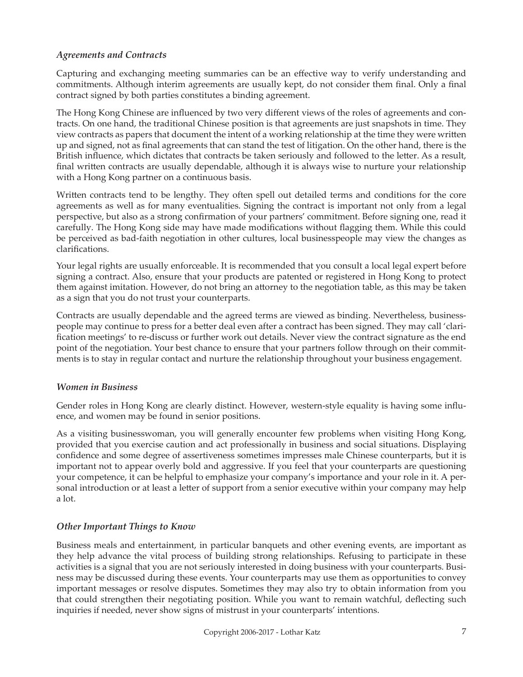## *Agreements and Contracts*

Capturing and exchanging meeting summaries can be an effective way to verify understanding and commitments. Although interim agreements are usually kept, do not consider them final. Only a final contract signed by both parties constitutes a binding agreement.

The Hong Kong Chinese are influenced by two very different views of the roles of agreements and contracts. On one hand, the traditional Chinese position is that agreements are just snapshots in time. They view contracts as papers that document the intent of a working relationship at the time they were written up and signed, not as final agreements that can stand the test of litigation. On the other hand, there is the British influence, which dictates that contracts be taken seriously and followed to the letter. As a result, final written contracts are usually dependable, although it is always wise to nurture your relationship with a Hong Kong partner on a continuous basis.

Written contracts tend to be lengthy. They often spell out detailed terms and conditions for the core agreements as well as for many eventualities. Signing the contract is important not only from a legal perspective, but also as a strong confirmation of your partners' commitment. Before signing one, read it carefully. The Hong Kong side may have made modifications without flagging them. While this could be perceived as bad-faith negotiation in other cultures, local businesspeople may view the changes as clarifications.

Your legal rights are usually enforceable. It is recommended that you consult a local legal expert before signing a contract. Also, ensure that your products are patented or registered in Hong Kong to protect them against imitation. However, do not bring an attorney to the negotiation table, as this may be taken as a sign that you do not trust your counterparts.

Contracts are usually dependable and the agreed terms are viewed as binding. Nevertheless, businesspeople may continue to press for a better deal even after a contract has been signed. They may call 'clarification meetings' to re-discuss or further work out details. Never view the contract signature as the end point of the negotiation. Your best chance to ensure that your partners follow through on their commitments is to stay in regular contact and nurture the relationship throughout your business engagement.

## *Women in Business*

Gender roles in Hong Kong are clearly distinct. However, western-style equality is having some influence, and women may be found in senior positions.

As a visiting businesswoman, you will generally encounter few problems when visiting Hong Kong, provided that you exercise caution and act professionally in business and social situations. Displaying confidence and some degree of assertiveness sometimes impresses male Chinese counterparts, but it is important not to appear overly bold and aggressive. If you feel that your counterparts are questioning your competence, it can be helpful to emphasize your company's importance and your role in it. A personal introduction or at least a letter of support from a senior executive within your company may help a lot.

## *Other Important Things to Know*

Business meals and entertainment, in particular banquets and other evening events, are important as they help advance the vital process of building strong relationships. Refusing to participate in these activities is a signal that you are not seriously interested in doing business with your counterparts. Business may be discussed during these events. Your counterparts may use them as opportunities to convey important messages or resolve disputes. Sometimes they may also try to obtain information from you that could strengthen their negotiating position. While you want to remain watchful, deflecting such inquiries if needed, never show signs of mistrust in your counterparts' intentions.